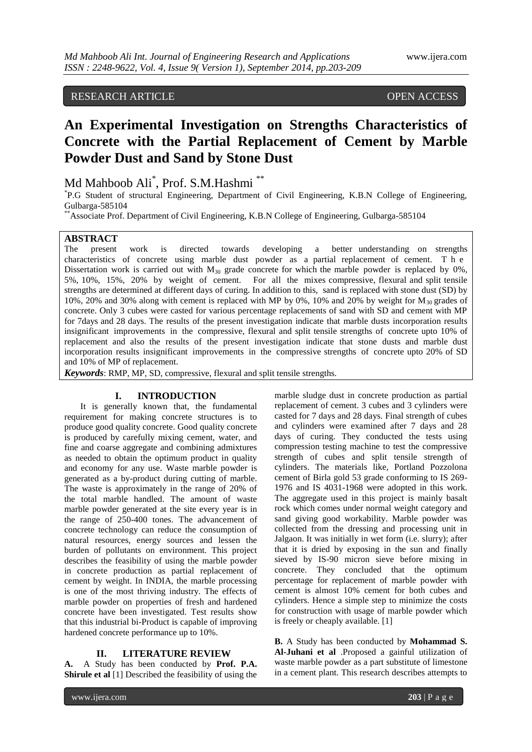# RESEARCH ARTICLE OPEN ACCESS

# **An Experimental Investigation on Strengths Characteristics of Concrete with the Partial Replacement of Cement by Marble Powder Dust and Sand by Stone Dust**

# Md Mahboob Ali\* , Prof. S.M.Hashmi \*\*

\* P.G Student of structural Engineering, Department of Civil Engineering, K.B.N College of Engineering, Gulbarga-585104

\*\*Associate Prof. Department of Civil Engineering, K.B.N College of Engineering, Gulbarga-585104

# **ABSTRACT**<br>The present

present work is directed towards developing a better understanding on strengths characteristics of concrete using marble dust powder as a partial replacement of cement. T h e Dissertation work is carried out with  $M_{30}$  grade concrete for which the marble powder is replaced by 0%, 5%, 10%, 15%, 20% by weight of cement. For all the mixes compressive, flexural and split tensile strengths are determined at different days of curing. In addition to this, sand is replaced with stone dust (SD) by 10%, 20% and 30% along with cement is replaced with MP by 0%, 10% and 20% by weight for  $M_{30}$  grades of concrete. Only 3 cubes were casted for various percentage replacements of sand with SD and cement with MP for 7days and 28 days. The results of the present investigation indicate that marble dusts incorporation results insignificant improvements in the compressive, flexural and split tensile strengths of concrete upto 10% of replacement and also the results of the present investigation indicate that stone dusts and marble dust incorporation results insignificant improvements in the compressive strengths of concrete upto 20% of SD and 10% of MP of replacement.

*Keywords*: RMP, MP, SD, compressive, flexural and split tensile strengths.

#### **I. INTRODUCTION**

It is generally known that, the fundamental requirement for making concrete structures is to produce good quality concrete. Good quality concrete is produced by carefully mixing cement, water, and fine and coarse aggregate and combining admixtures as needed to obtain the optimum product in quality and economy for any use. Waste marble powder is generated as a by-product during cutting of marble. The waste is approximately in the range of 20% of the total marble handled. The amount of waste marble powder generated at the site every year is in the range of 250-400 tones. The advancement of concrete technology can reduce the consumption of natural resources, energy sources and lessen the burden of pollutants on environment. This project describes the feasibility of using the marble powder in concrete production as partial replacement of cement by weight. In INDIA, the marble processing is one of the most thriving industry. The effects of marble powder on properties of fresh and hardened concrete have been investigated. Test results show that this industrial bi-Product is capable of improving hardened concrete performance up to 10%.

#### **II. LITERATURE REVIEW**

**A.** A Study has been conducted by **Prof. P.A. Shirule et al** [1] Described the feasibility of using the

marble sludge dust in concrete production as partial replacement of cement. 3 cubes and 3 cylinders were casted for 7 days and 28 days. Final strength of cubes and cylinders were examined after 7 days and 28 days of curing. They conducted the tests using compression testing machine to test the compressive strength of cubes and split tensile strength of cylinders. The materials like, Portland Pozzolona cement of Birla gold 53 grade conforming to IS 269- 1976 and IS 4031-1968 were adopted in this work. The aggregate used in this project is mainly basalt rock which comes under normal weight category and sand giving good workability. Marble powder was collected from the dressing and processing unit in Jalgaon. It was initially in wet form (i.e. slurry); after that it is dried by exposing in the sun and finally sieved by IS-90 micron sieve before mixing in concrete. They concluded that the optimum percentage for replacement of marble powder with cement is almost 10% cement for both cubes and cylinders. Hence a simple step to minimize the costs for construction with usage of marble powder which is freely or cheaply available. [1]

**B.** A Study has been conducted by **Mohammad S. Al-Juhani et al** .Proposed a gainful utilization of waste marble powder as a part substitute of limestone in a cement plant. This research describes attempts to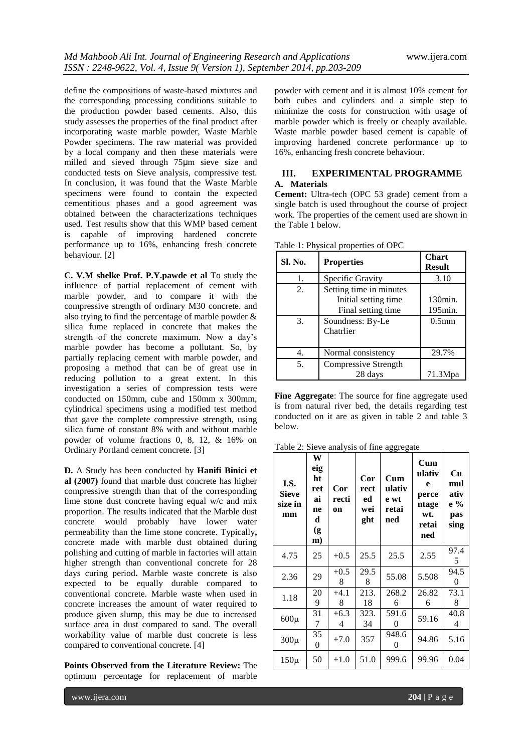define the compositions of waste-based mixtures and the corresponding processing conditions suitable to the production powder based cements. Also, this study assesses the properties of the final product after incorporating waste marble powder, Waste Marble Powder specimens. The raw material was provided by a local company and then these materials were milled and sieved through 75μm sieve size and conducted tests on Sieve analysis, compressive test. In conclusion, it was found that the Waste Marble specimens were found to contain the expected cementitious phases and a good agreement was obtained between the characterizations techniques used. Test results show that this WMP based cement is capable of improving hardened concrete performance up to 16%, enhancing fresh concrete behaviour. [2]

**C. V.M shelke Prof. P.Y.pawde et al** To study the influence of partial replacement of cement with marble powder, and to compare it with the compressive strength of ordinary M30 concrete. and also trying to find the percentage of marble powder & silica fume replaced in concrete that makes the strength of the concrete maximum. Now a day's marble powder has become a pollutant. So, by partially replacing cement with marble powder, and proposing a method that can be of great use in reducing pollution to a great extent. In this investigation a series of compression tests were conducted on 150mm, cube and 150mm x 300mm, cylindrical specimens using a modified test method that gave the complete compressive strength, using silica fume of constant 8% with and without marble powder of volume fractions 0, 8, 12, & 16% on Ordinary Portland cement concrete. [3]

**D.** A Study has been conducted by **Hanifi Binici et al (2007)** found that marble dust concrete has higher compressive strength than that of the corresponding lime stone dust concrete having equal w/c and mix proportion. The results indicated that the Marble dust concrete would probably have lower water permeability than the lime stone concrete. Typically**,** concrete made with marble dust obtained during polishing and cutting of marble in factories will attain higher strength than conventional concrete for 28 days curing period**.** Marble waste concrete is also expected to be equally durable compared to conventional concrete. Marble waste when used in concrete increases the amount of water required to produce given slump, this may be due to increased surface area in dust compared to sand. The overall workability value of marble dust concrete is less compared to conventional concrete. [4]

**Points Observed from the Literature Review:** The optimum percentage for replacement of marble

powder with cement and it is almost 10% cement for both cubes and cylinders and a simple step to minimize the costs for construction with usage of marble powder which is freely or cheaply available. Waste marble powder based cement is capable of improving hardened concrete performance up to 16%, enhancing fresh concrete behaviour.

## **III. EXPERIMENTAL PROGRAMME A. Materials**

**Cement:** Ultra-tech (OPC 53 grade) cement from a single batch is used throughout the course of project work. The properties of the cement used are shown in the Table 1 below.

| Sl. No. | <b>Properties</b>                                                     | <b>Chart</b><br><b>Result</b> |
|---------|-----------------------------------------------------------------------|-------------------------------|
| 1.      | Specific Gravity                                                      | 3.10                          |
| 2.      | Setting time in minutes<br>Initial setting time<br>Final setting time | 130min.<br>195min.            |
| 3.      | Soundness: By-Le<br>Chatrlier                                         | 0.5 <sub>mm</sub>             |
| 4.      | Normal consistency                                                    | 29.7%                         |
| 5.      | Compressive Strength<br>28 days                                       | 71.3Mpa                       |

Table 1: Physical properties of OPC

**Fine Aggregate**: The source for fine aggregate used is from natural river bed, the details regarding test conducted on it are as given in table 2 and table 3 below.

Table 2: Sieve analysis of fine aggregate

| LS.<br><b>Sieve</b><br>size in<br>mm | W<br>eig<br>ht<br>ret<br>ai<br>ne<br>d<br>(g<br>m) | Cor<br>recti<br>on | Cor<br>rect<br>ed<br>wei<br>ght | Cum<br>ulativ<br>e wt<br>retai<br>ned | $_{\rm Cum}$<br>ulativ<br>e<br>perce<br>ntage<br>wt.<br>retai<br>ned | Cu<br>mul<br>ativ<br>$e\%$<br>pas<br>sing |
|--------------------------------------|----------------------------------------------------|--------------------|---------------------------------|---------------------------------------|----------------------------------------------------------------------|-------------------------------------------|
| 4.75                                 | 25                                                 | $+0.5$             | 25.5                            | 25.5                                  | 2.55                                                                 | 97.4<br>5                                 |
| 2.36                                 | 29                                                 | $+0.5$<br>8        | 29.5<br>8                       | 55.08                                 | 5.508                                                                | 94.5<br>0                                 |
| 1.18                                 | 20<br>9                                            | $+4.1$<br>8        | 213.<br>18                      | 268.2<br>6                            | 26.82<br>6                                                           | 73.1<br>8                                 |
| $600\mu$                             | 31<br>7                                            | $+6.3$<br>4        | 323.<br>34                      | 591.6<br>0                            | 59.16                                                                | 40.8<br>4                                 |
| $300\mu$                             | 35<br>$\overline{0}$                               | $+7.0$             | 357                             | 948.6<br>0                            | 94.86                                                                | 5.16                                      |
| $150\mu$                             | 50                                                 | $+1.0$             | 51.0                            | 999.6                                 | 99.96                                                                | 0.04                                      |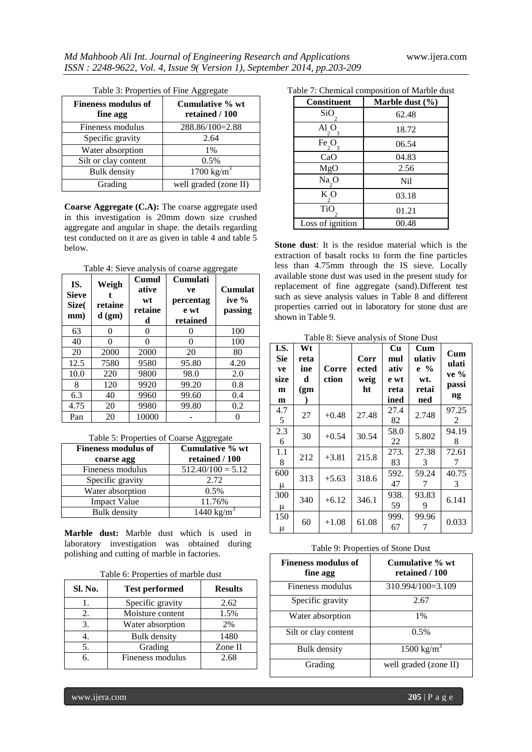| <b>Fineness modulus of</b><br>fine agg | Cumulative % wt<br>retained / 100 |
|----------------------------------------|-----------------------------------|
| Fineness modulus                       | 288.86/100=2.88                   |
| Specific gravity                       | 2.64                              |
| Water absorption                       | 1%                                |
| Silt or clay content                   | 0.5%                              |
| <b>Bulk</b> density                    | 1700 kg/m <sup>3</sup>            |
| Grading                                | well graded (zone II)             |

**Coarse Aggregate (C.A):** The coarse aggregate used in this investigation is 20mm down size crushed aggregate and angular in shape. the details regarding test conducted on it are as given in table 4 and table 5 below.

| IS.<br><b>Sieve</b><br>Size(<br>mm) | Weigh<br>retaine<br>$d$ (gm) | Cumul<br>ative<br>wt<br>retaine<br>d | Cumulati<br>ve<br>percentag<br>e wt<br>retained | <b>Cumulat</b><br>ive %<br>passing |
|-------------------------------------|------------------------------|--------------------------------------|-------------------------------------------------|------------------------------------|
| 63                                  | 0                            | 0                                    |                                                 | 100                                |
| 40                                  | 0                            | 0                                    | 0                                               | 100                                |
| 20                                  | 2000                         | 2000                                 | 20                                              | 80                                 |
| 12.5                                | 7580                         | 9580                                 | 95.80                                           | 4.20                               |
| 10.0                                | 220                          | 9800                                 | 98.0                                            | 2.0                                |
| 8                                   | 120                          | 9920                                 | 99.20                                           | 0.8                                |
| 6.3                                 | 40                           | 9960                                 | 99.60                                           | 0.4                                |
| 4.75                                | 20                           | 9980                                 | 99.80                                           | 0.2                                |
| Pan                                 | 20                           | 10000                                |                                                 |                                    |

Table 5: Properties of Coarse Aggregate

| <b>Fineness modulus of</b> | Cumulative % wt        |
|----------------------------|------------------------|
| coarse agg                 | retained / 100         |
| Fineness modulus           | $512.40/100 = 5.12$    |
| Specific gravity           | 2.72                   |
| Water absorption           | 0.5%                   |
| <b>Impact Value</b>        | 11.76%                 |
| <b>Bulk</b> density        | 1440 kg/m <sup>3</sup> |

**Marble dust:** Marble dust which is used in laboratory investigation was obtained during polishing and cutting of marble in factories.

|  | Table 6: Properties of marble dust |  |  |  |
|--|------------------------------------|--|--|--|
|--|------------------------------------|--|--|--|

| Sl. No. | <b>Test performed</b> | <b>Results</b> |
|---------|-----------------------|----------------|
|         | Specific gravity      | 2.62           |
| 2.      | Moisture content      | 1.5%           |
| 3.      | Water absorption      | 2%             |
|         | <b>Bulk</b> density   | 1480           |
| 5.      | Grading               | Zone II        |
| б.      | Fineness modulus      | 2.68           |

| Table 7: Chemical composition of Marble dust |  |
|----------------------------------------------|--|
|----------------------------------------------|--|

| <b>Constituent</b> | Marble dust $(\% )$ |
|--------------------|---------------------|
| SiO                | 62.48               |
| Al O               | 18.72               |
| Fe O<br>3          | 06.54               |
| CaO                | 04.83               |
| MgO                | 2.56                |
| Na O               | Nil                 |
| KO                 | 03.18               |
| TiO                | 01.21               |
| Loss of ignition   | 00.48               |

**Stone dust**: It is the residue material which is the extraction of basalt rocks to form the fine particles less than 4.75mm through the IS sieve. Locally available stone dust was used in the present study for replacement of fine aggregate (sand).Different test such as sieve analysis values in Table 8 and different properties carried out in laboratory for stone dust are shown in Table 9.

Table 8: Sieve analysis of Stone Dust

| I.S.<br><b>Sie</b><br>ve<br>size<br>$\mathbf{m}$<br>m | Wt<br>reta<br>ine<br>d<br>(g <sub>m</sub> ) | Corre<br>ction | Corr<br>ected<br>weig<br>ht | Cu<br>mul<br>ativ<br>e wt<br>reta<br>ined | Cum<br>ulativ<br>$e \ \%$<br>wt.<br>retai<br>ned | $_{\rm Cum}$<br>ulati<br>ve %<br>passi<br>ng |
|-------------------------------------------------------|---------------------------------------------|----------------|-----------------------------|-------------------------------------------|--------------------------------------------------|----------------------------------------------|
| 4.7<br>5                                              | 27                                          | $+0.48$        | 27.48                       | 27.4<br>82                                | 2.748                                            | 97.25<br>2                                   |
| 2.3<br>6                                              | 30                                          | $+0.54$        | 30.54                       | 58.0<br>22                                | 5.802                                            | 94.19<br>8                                   |
| 1.1<br>8                                              | 212                                         | $+3.81$        | 215.8                       | 273.<br>83                                | 27.38<br>3                                       | 72.61                                        |
| 600<br>μ                                              | 313                                         | $+5.63$        | 318.6                       | 592.<br>47                                | 59.24<br>7                                       | 40.75<br>3                                   |
| 300<br>μ                                              | 340                                         | $+6.12$        | 346.1                       | 938.<br>59                                | 93.83<br>9                                       | 6.141                                        |
| 150<br>μ                                              | 60                                          | $+1.08$        | 61.08                       | 999.<br>67                                | 99.96                                            | 0.033                                        |

|  | Table 9: Properties of Stone Dust |  |  |
|--|-----------------------------------|--|--|
|--|-----------------------------------|--|--|

| <b>Fineness modulus of</b><br>fine agg | Cumulative % wt<br>retained / 100 |
|----------------------------------------|-----------------------------------|
| Fineness modulus                       | 310.994/100=3.109                 |
| Specific gravity                       | 2.67                              |
| Water absorption                       | $1\%$                             |
| Silt or clay content                   | 0.5%                              |
| <b>Bulk density</b>                    | $1500 \text{ kg/m}^3$             |
| Grading                                | well graded (zone II)             |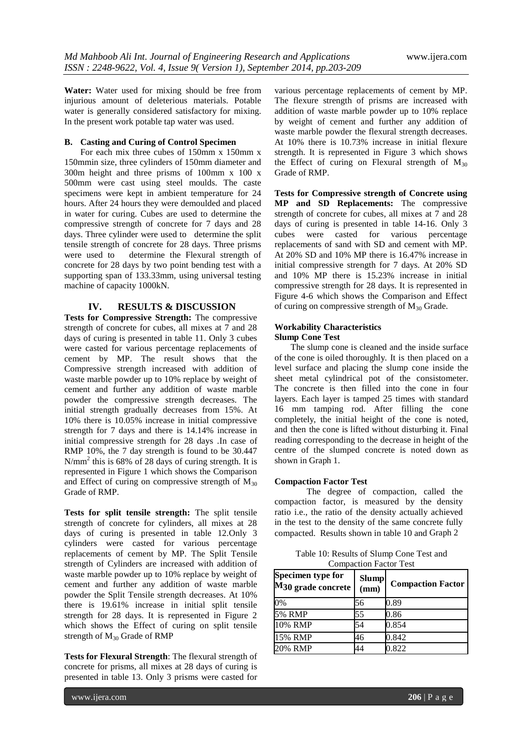**Water:** Water used for mixing should be free from injurious amount of deleterious materials. Potable water is generally considered satisfactory for mixing. In the present work potable tap water was used.

#### **B. Casting and Curing of Control Specimen**

For each mix three cubes of 150mm x 150mm x 150mmin size, three cylinders of 150mm diameter and 300m height and three prisms of 100mm x 100 x 500mm were cast using steel moulds. The caste specimens were kept in ambient temperature for 24 hours. After 24 hours they were demoulded and placed in water for curing. Cubes are used to determine the compressive strength of concrete for 7 days and 28 days. Three cylinder were used to determine the split tensile strength of concrete for 28 days. Three prisms<br>were used to determine the Flexural strength of determine the Flexural strength of concrete for 28 days by two point bending test with a supporting span of 133.33mm, using universal testing machine of capacity 1000kN.

## **IV. RESULTS & DISCUSSION**

**Tests for Compressive Strength:** The compressive strength of concrete for cubes, all mixes at 7 and 28 days of curing is presented in table 11. Only 3 cubes were casted for various percentage replacements of cement by MP. The result shows that the Compressive strength increased with addition of waste marble powder up to 10% replace by weight of cement and further any addition of waste marble powder the compressive strength decreases. The initial strength gradually decreases from 15%. At 10% there is 10.05% increase in initial compressive strength for 7 days and there is 14.14% increase in initial compressive strength for 28 days .In case of RMP 10%, the 7 day strength is found to be 30.447 N/mm<sup>2</sup> this is 68% of 28 days of curing strength. It is represented in Figure 1 which shows the Comparison and Effect of curing on compressive strength of  $M_{30}$ Grade of RMP.

**Tests for split tensile strength:** The split tensile strength of concrete for cylinders, all mixes at 28 days of curing is presented in table 12.Only 3 cylinders were casted for various percentage replacements of cement by MP. The Split Tensile strength of Cylinders are increased with addition of waste marble powder up to 10% replace by weight of cement and further any addition of waste marble powder the Split Tensile strength decreases. At 10% there is 19.61% increase in initial split tensile strength for 28 days. It is represented in Figure 2 which shows the Effect of curing on split tensile strength of  $M_{30}$  Grade of RMP

**Tests for Flexural Strength**: The flexural strength of concrete for prisms, all mixes at 28 days of curing is presented in table 13. Only 3 prisms were casted for

various percentage replacements of cement by MP. The flexure strength of prisms are increased with addition of waste marble powder up to 10% replace by weight of cement and further any addition of waste marble powder the flexural strength decreases. At 10% there is 10.73% increase in initial flexure strength. It is represented in Figure 3 which shows the Effect of curing on Flexural strength of  $M_{30}$ Grade of RMP.

**Tests for Compressive strength of Concrete using MP and SD Replacements:** The compressive strength of concrete for cubes, all mixes at 7 and 28 days of curing is presented in table 14-16. Only 3 cubes were casted for various percentage replacements of sand with SD and cement with MP. At 20% SD and 10% MP there is 16.47% increase in initial compressive strength for 7 days. At 20% SD and 10% MP there is 15.23% increase in initial compressive strength for 28 days. It is represented in Figure 4-6 which shows the Comparison and Effect of curing on compressive strength of  $M_{30}$  Grade.

#### **Workability Characteristics Slump Cone Test**

The slump cone is cleaned and the inside surface of the cone is oiled thoroughly. It is then placed on a level surface and placing the slump cone inside the sheet metal cylindrical pot of the consistometer. The concrete is then filled into the cone in four layers. Each layer is tamped 25 times with standard 16 mm tamping rod. After filling the cone completely, the initial height of the cone is noted, and then the cone is lifted without disturbing it. Final reading corresponding to the decrease in height of the centre of the slumped concrete is noted down as shown in Graph 1.

#### **Compaction Factor Test**

The degree of compaction, called the compaction factor, is measured by the density ratio i.e., the ratio of the density actually achieved in the test to the density of the same concrete fully compacted. Results shown in table 10 and Graph 2

Table 10: Results of Slump Cone Test and Compaction Factor Test

| Specimen type for<br>M <sub>30</sub> grade concrete | <b>Slump</b><br>(mm) | <b>Compaction Factor</b> |
|-----------------------------------------------------|----------------------|--------------------------|
| 0%                                                  | 56                   | 0.89                     |
| <b>5% RMP</b>                                       | 55                   | 0.86                     |
| 10% RMP                                             | 54                   | 0.854                    |
| 15% RMP                                             | 46                   | 0.842                    |
| 20% RMP                                             | 44                   | 0.822                    |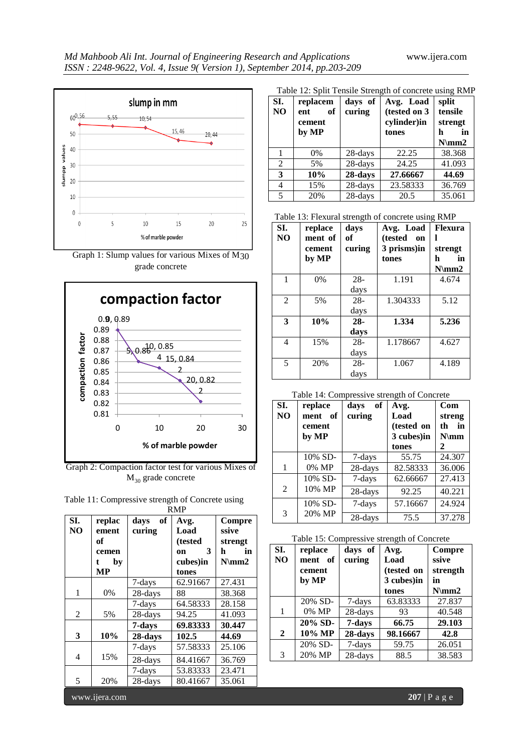

Graph 1: Slump values for various Mixes of M30 grade concrete



Graph 2: Compaction factor test for various Mixes of  $M_{30}$  grade concrete

Table 11: Compressive strength of Concrete using

|     |                               |                   | <b>RMP</b>                          |                       |              |                                            | $\cdots$          |                            |                         |
|-----|-------------------------------|-------------------|-------------------------------------|-----------------------|--------------|--------------------------------------------|-------------------|----------------------------|-------------------------|
| SI. | replac                        | of<br>days        | Avg.                                | Compre                | 3            | 20% MP                                     | 28-days           | 75.5                       | 37.2                    |
| NO  | ement<br>of                   | curing            | Load<br>(tested                     | ssive<br>strengt      |              | Table 15: Compressive strength of Concrete |                   |                            |                         |
|     | cemen<br>by<br>t<br><b>MP</b> |                   | 3<br><b>on</b><br>cubes)in<br>tones | h<br>in<br>$N\$ {mm2} | SI.<br>NO    | replace<br>ment of<br>cement               | days of<br>curing | Avg.<br>Load<br>(tested on | Comp<br>ssive<br>streng |
|     |                               | 7-days            | 62.91667                            | 27.431                |              | by MP                                      |                   | 3 cubes)in<br>tones        | in<br>$N\$              |
| 1   | 0%                            | 28-days<br>7-days | 88<br>64.58333                      | 38.368<br>28.158      |              | 20% SD-                                    | 7-days            | 63.83333                   | 27.8                    |
| 2   | 5%                            | 28-days           | 94.25                               | 41.093                | 1            | 0% MP                                      | $28$ -days        | 93                         | 40.5                    |
|     |                               | 7-days            | 69.83333                            | 30.447                |              | $20\%$ SD-                                 | 7-days            | 66.75                      | 29.1                    |
| 3   | 10%                           | 28-days           | 102.5                               | 44.69                 | $\mathbf{2}$ | 10% MP                                     | 28-days           | 98.16667                   | 42.                     |
|     |                               | 7-days            | 57.58333                            | 25.106                |              | 20% SD-                                    | 7-days            | 59.75                      | 26.0                    |
| 4   | 15%                           | 28-days           | 84.41667                            | 36.769                | 3            | 20% MP                                     | 28-days           | 88.5                       | 38.5                    |
|     |                               | 7-days            | 53.83333                            | 23.471                |              |                                            |                   |                            |                         |
| 5   | 20%                           | 28-days           | 80.41667                            | 35.061                |              |                                            |                   |                            |                         |
|     | www.ijera.com                 |                   |                                     |                       |              |                                            |                   |                            | $207   P$ a g e         |

Table 12: Split Tensile Strength of concrete using RMP

| SI.<br>N <sub>O</sub> | replacem<br>of<br>ent<br>cement<br>by MP | days of<br>curing | Avg. Load<br>(tested on 3<br>cylinder)in<br>tones | split<br>tensile<br>strengt<br>h<br>in<br>$N\$ {mm2} |
|-----------------------|------------------------------------------|-------------------|---------------------------------------------------|------------------------------------------------------|
| 1                     | 0%                                       | 28-days           | 22.25                                             | 38.368                                               |
| 2                     | 5%                                       | 28-days           | 24.25                                             | 41.093                                               |
| 3                     | 10%                                      | 28-days           | 27.66667                                          | 44.69                                                |
| 4                     | 15%                                      | 28-days           | 23.58333                                          | 36.769                                               |
| 5                     | 20%                                      | 28-days           | 20.5                                              | 35.061                                               |

Table 13: Flexural strength of concrete using RMP

| SI.<br>NO. | replace<br>ment of<br>cement<br>by MP | days<br>of<br>curing | Avg. Load<br><i>(tested)</i><br>on<br>3 prisms)in<br>tones | <b>Flexura</b><br>strengt<br>in<br>h<br>$N\$ {mm2} |
|------------|---------------------------------------|----------------------|------------------------------------------------------------|----------------------------------------------------|
| 1          | 0%                                    | $28 -$<br>days       | 1.191                                                      | 4.674                                              |
| 2          | 5%                                    | $28 -$<br>days       | 1.304333                                                   | 5.12                                               |
| 3          | 10%                                   | $28 -$<br>days       | 1.334                                                      | 5.236                                              |
| 4          | 15%                                   | $28 -$<br>days       | 1.178667                                                   | 4.627                                              |
| 5          | 20%                                   | $28 -$<br>days       | 1.067                                                      | 4.189                                              |

Table 14: Compressive strength of Concrete

| SI.<br>N <sub>O</sub> | replace<br>ment of<br>cement<br>by MP | of<br>davs<br>curing | Avg.<br>Load<br>(tested on<br>3 cubes)in<br>tones | Com<br>streng<br>th<br>in<br>$N\$ {mm}<br>$\mathbf{2}$ |
|-----------------------|---------------------------------------|----------------------|---------------------------------------------------|--------------------------------------------------------|
|                       | 10% SD-                               | 7-days               | 55.75                                             | 24.307                                                 |
| 1                     | 0% MP                                 | 28-days              | 82.58333                                          | 36.006                                                 |
|                       | 10% SD-                               | 7-days               | 62.66667                                          | 27.413                                                 |
| $\mathfrak{D}$        | 10% MP                                | 28-days              | 92.25                                             | 40.221                                                 |
|                       | 10% SD-                               | 7-days               | 57.16667                                          | 24.924                                                 |
| 3                     | 20% MP                                | 28-days              | 75.5                                              | 37.278                                                 |

| SI.<br>NO.     | replace<br>ment of<br>cement<br>by MP | days of<br>curing | Avg.<br>Load<br>(tested on<br>3 cubes)in<br>tones | Compre<br>ssive<br>strength<br>in<br>$N \mid m2$ |
|----------------|---------------------------------------|-------------------|---------------------------------------------------|--------------------------------------------------|
|                | 20% SD-                               | 7-days            | 63.83333                                          | 27.837                                           |
| 1              | 0% MP                                 | 28-days           | 93                                                | 40.548                                           |
|                | 20% SD-                               | 7-days            | 66.75                                             | 29.103                                           |
| $\overline{2}$ | 10% MP                                | 28-days           | 98.16667                                          | 42.8                                             |
|                | 20% SD-                               | 7-days            | 59.75                                             | 26.051                                           |
| 3              | 20% MP                                | 28-days           | 88.5                                              | 38.583                                           |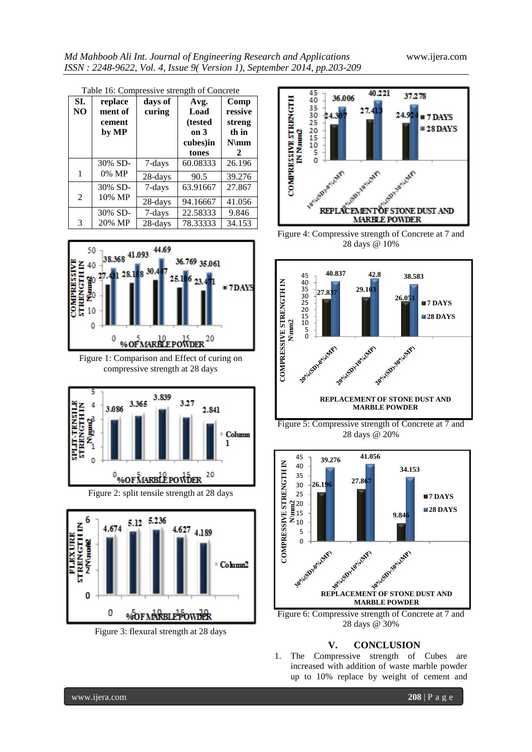*Md Mahboob Ali Int. Journal of Engineering Research and Applications* www.ijera.com *ISSN : 2248-9622, Vol. 4, Issue 9( Version 1), September 2014, pp.203-209*

| Table 16: Compressive strength of Concrete |                                       |                   |                                                                |                                                 |  |
|--------------------------------------------|---------------------------------------|-------------------|----------------------------------------------------------------|-------------------------------------------------|--|
| SI.<br>N <sub>O</sub>                      | replace<br>ment of<br>cement<br>by MP | days of<br>curing | Avg.<br>Load<br><i>(tested)</i><br>on <sub>3</sub><br>cubes)in | Comp<br>ressive<br>streng<br>th in<br>$N\$ {mm} |  |
|                                            |                                       |                   | tones                                                          | 2                                               |  |
|                                            | 30% SD-                               | 7-days            | 60.08333                                                       | 26.196                                          |  |
| 1                                          | 0% MP                                 | 28-days           | 90.5                                                           | 39.276                                          |  |
|                                            | 30% SD-                               | 7-days            | 63.91667                                                       | 27.867                                          |  |
| $\overline{2}$                             | 10% MP                                | 28-days           | 94.16667                                                       | 41.056                                          |  |
|                                            | 30% SD-                               | 7-days            | 22.58333                                                       | 9.846                                           |  |
| 3                                          | 20% MP                                | 28-days           | 78.33333                                                       | 34.153                                          |  |



Figure 1: Comparison and Effect of curing on compressive strength at 28 days



Figure 2: split tensile strength at 28 days



Figure 3: flexural strength at 28 days



Figure 4: Compressive strength of Concrete at 7 and 28 days @ 10%







## **V. CONCLUSION**

1. The Compressive strength of Cubes are increased with addition of waste marble powder up to 10% replace by weight of cement and